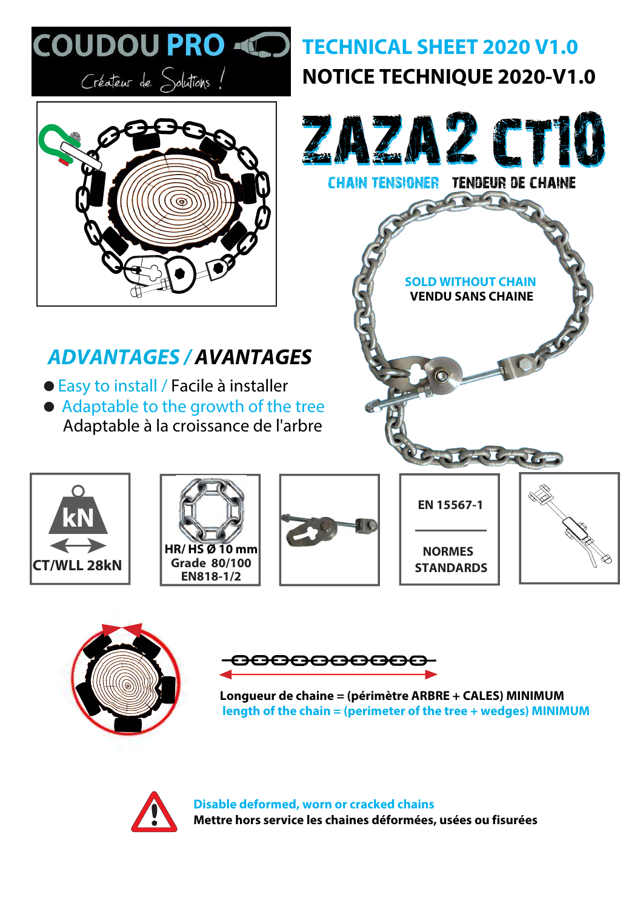





**Longueur de chaine = (périmètre ARBRE + CALES) MINIMUM length of the chain = (perimeter of the tree + wedges) MINIMUM**



**Disable deformed, worn or cracked chains Mettre hors service les chaines déformées, usées ou fisurées**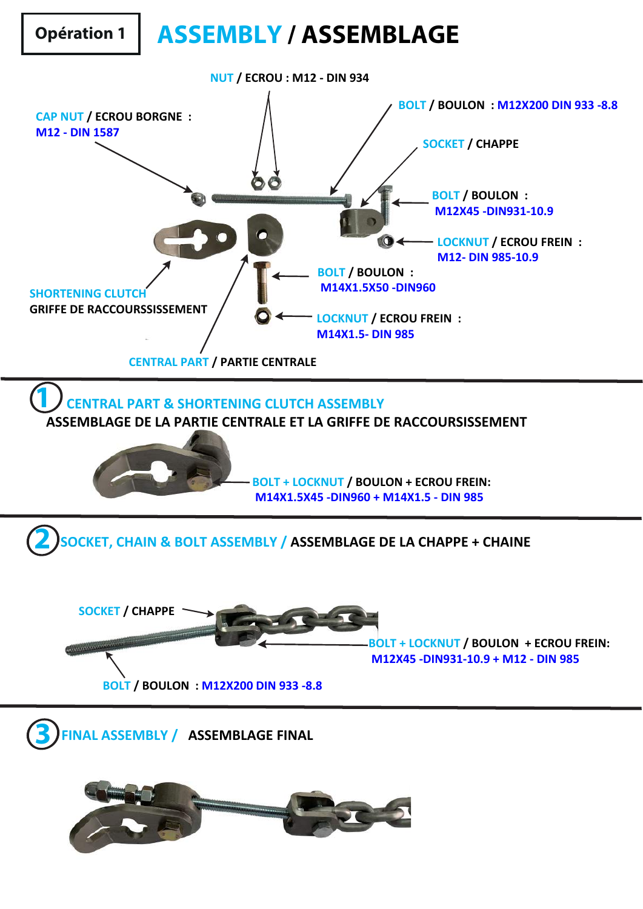## **Opération 1 ASSEMBLY / ASSEMBLAGE**

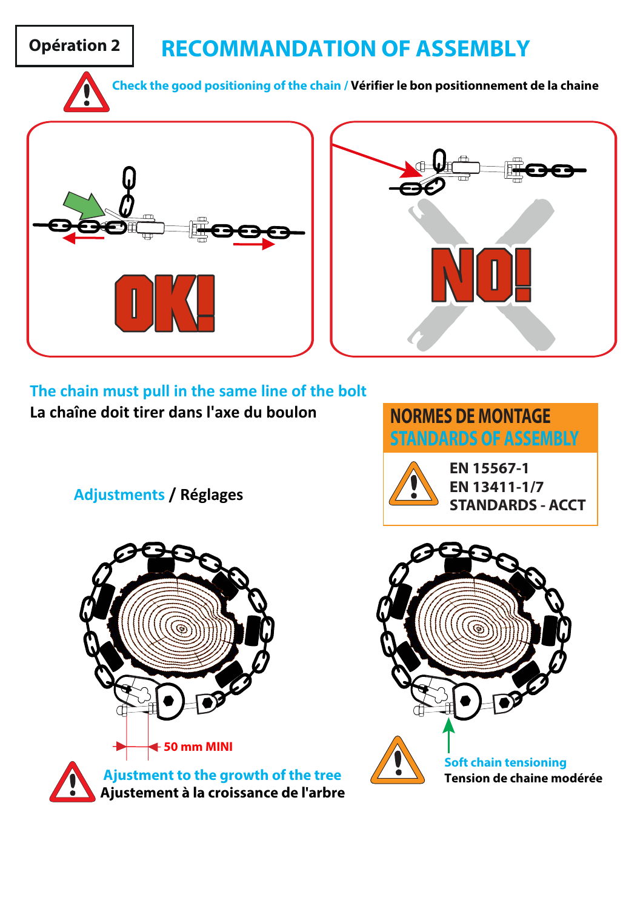## **Opération 2 RECOMMANDATION OF ASSEMBLY**

**Check the good positioning of the chain / Vérifier le bon positionnement de la chaine**





**The chain must pull in the same line of the bolt La chaîne doit tirer dans l'axe du boulon**

**NORMES DE MONTAGE STANDARDS OF ASSEMBLY**

**Adjustments / Réglages**



**EN 13411-1/7 STANDARDS - ACCT**



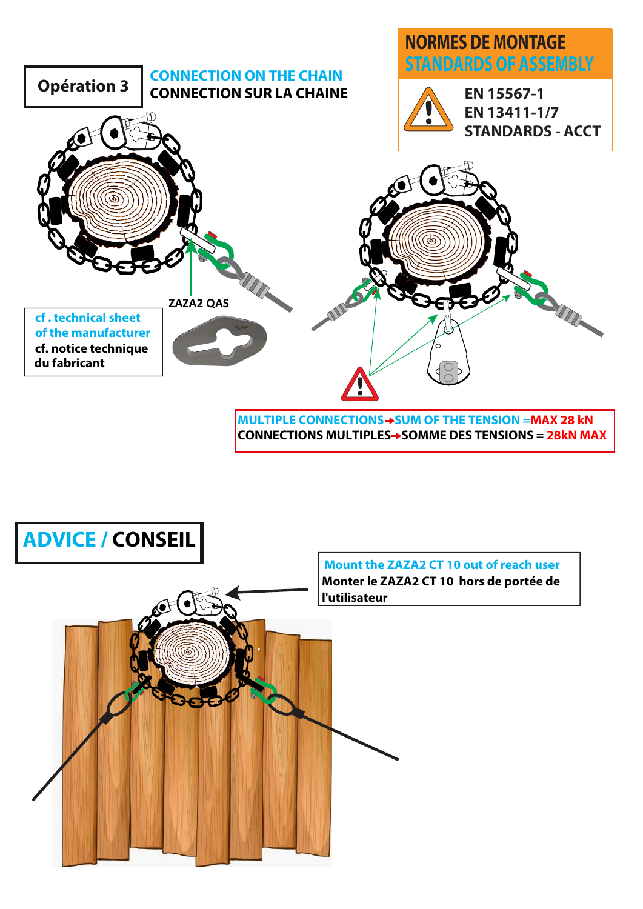

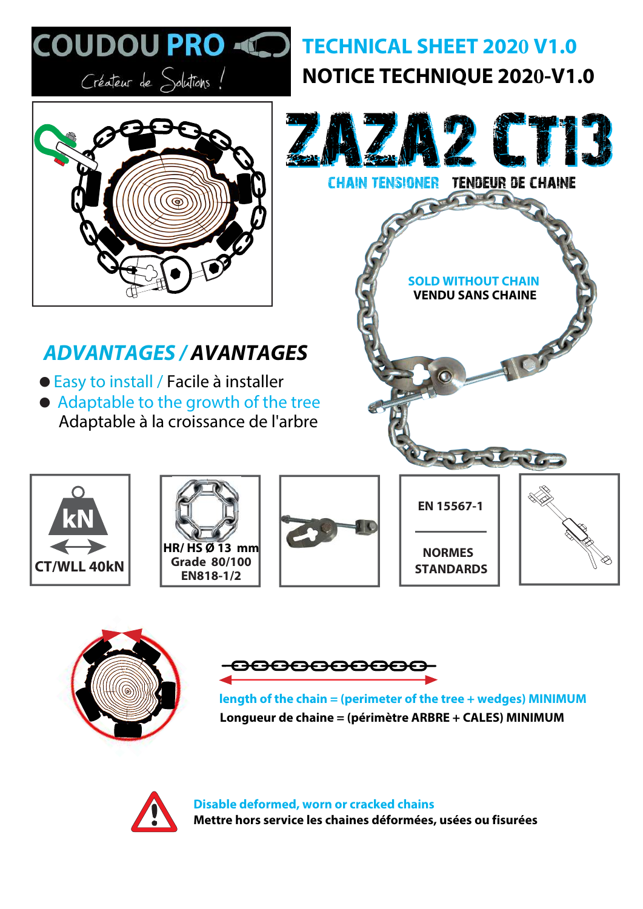





**Longueur de chaine = (périmètre ARBRE + CALES) MINIMUM length of the chain = (perimeter of the tree + wedges) MINIMUM**



**Disable deformed, worn or cracked chains Mettre hors service les chaines déformées, usées ou fisurées**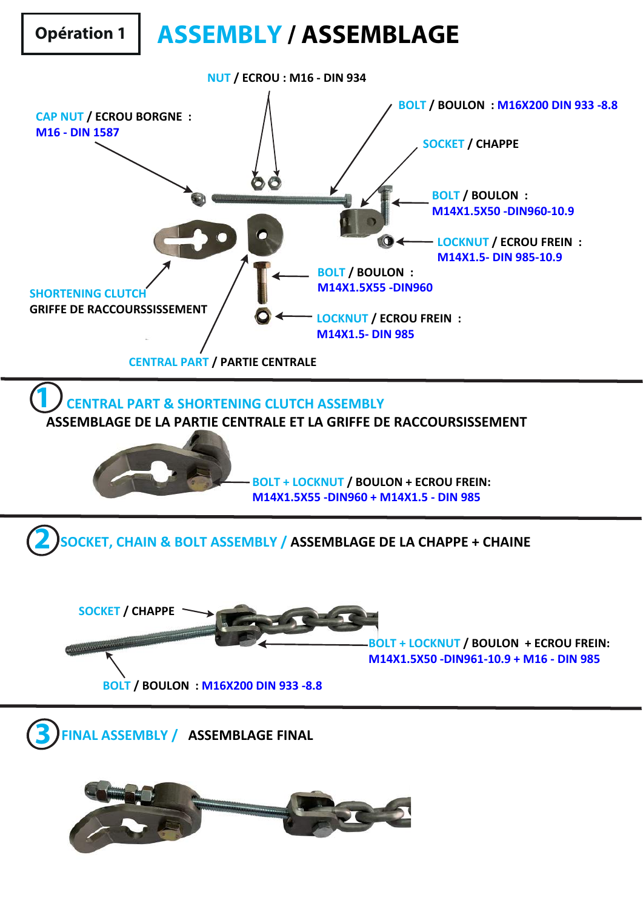## **Opération 1 ASSEMBLY / ASSEMBLAGE**

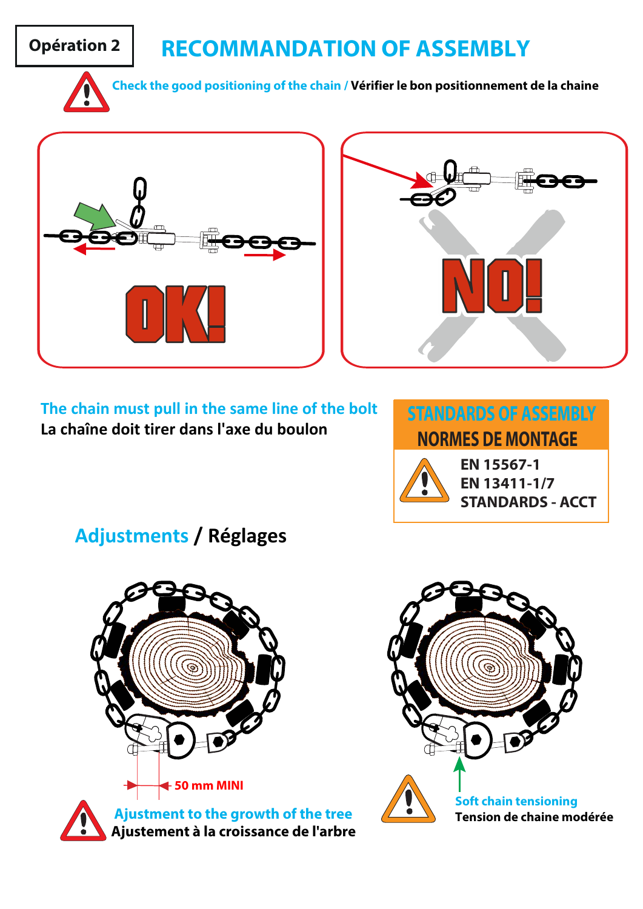## **Opération 2 RECOMMANDATION OF ASSEMBLY**



**Check the good positioning of the chain / Vérifier le bon positionnement de la chaine**





**The chain must pull in the same line of the bolt La chaîne doit tirer dans l'axe du boulon**



**EN 13411-1/7 STANDARDS - ACCT**

**Adjustments / Réglages**